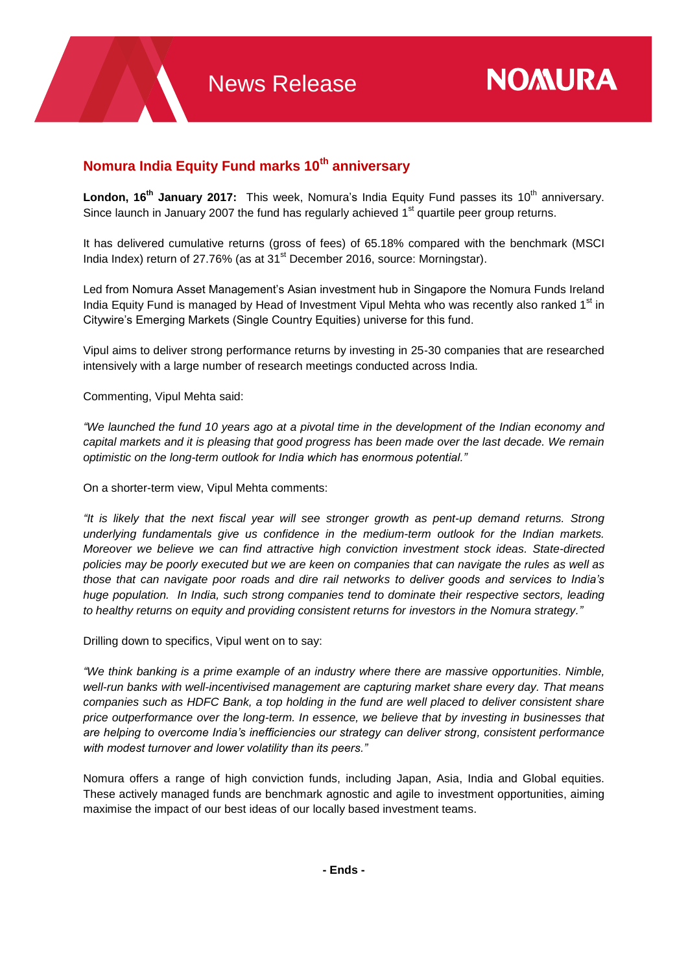## **Nomura India Equity Fund marks 10th anniversary**

**London, 16<sup>th</sup> January 2017:** This week, Nomura's India Equity Fund passes its 10<sup>th</sup> anniversary. Since launch in January 2007 the fund has regularly achieved 1<sup>st</sup> quartile peer group returns.

It has delivered cumulative returns (gross of fees) of 65.18% compared with the benchmark (MSCI India Index) return of 27.76% (as at 31<sup>st</sup> December 2016, source: Morningstar).

Led from Nomura Asset Management's Asian investment hub in Singapore the Nomura Funds Ireland India Equity Fund is managed by Head of Investment Vipul Mehta who was recently also ranked 1<sup>st</sup> in Citywire's Emerging Markets (Single Country Equities) universe for this fund.

Vipul aims to deliver strong performance returns by investing in 25-30 companies that are researched intensively with a large number of research meetings conducted across India.

Commenting, Vipul Mehta said:

*"We launched the fund 10 years ago at a pivotal time in the development of the Indian economy and capital markets and it is pleasing that good progress has been made over the last decade. We remain optimistic on the long-term outlook for India which has enormous potential."*

On a shorter-term view, Vipul Mehta comments:

*"It is likely that the next fiscal year will see stronger growth as pent-up demand returns. Strong underlying fundamentals give us confidence in the medium-term outlook for the Indian markets. Moreover we believe we can find attractive high conviction investment stock ideas. State-directed policies may be poorly executed but we are keen on companies that can navigate the rules as well as those that can navigate poor roads and dire rail networks to deliver goods and services to India's huge population. In India, such strong companies tend to dominate their respective sectors, leading to healthy returns on equity and providing consistent returns for investors in the Nomura strategy."*

Drilling down to specifics, Vipul went on to say:

*"We think banking is a prime example of an industry where there are massive opportunities. Nimble, well-run banks with well-incentivised management are capturing market share every day. That means companies such as HDFC Bank, a top holding in the fund are well placed to deliver consistent share price outperformance over the long-term. In essence, we believe that by investing in businesses that are helping to overcome India's inefficiencies our strategy can deliver strong, consistent performance with modest turnover and lower volatility than its peers."*

Nomura offers a range of high conviction funds, including Japan, Asia, India and Global equities. These actively managed funds are benchmark agnostic and agile to investment opportunities, aiming maximise the impact of our best ideas of our locally based investment teams.